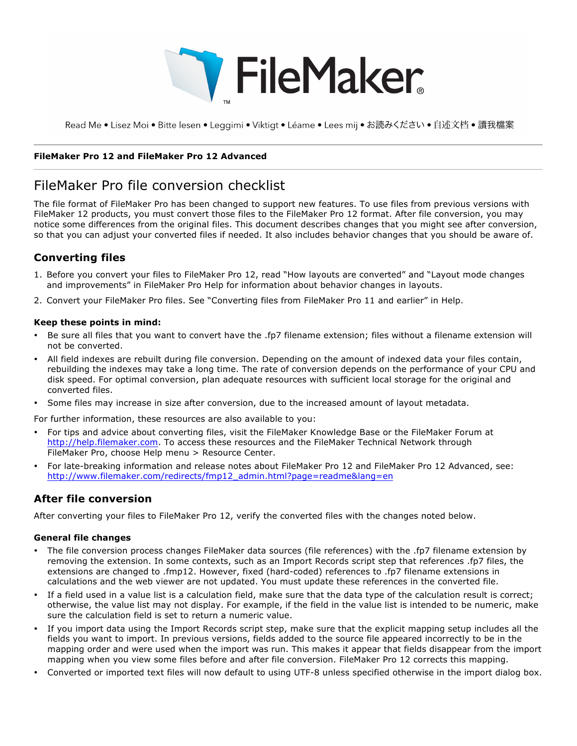

Read Me • Lisez Moi • Bitte lesen • Leggimi • Viktigt • Léame • Lees mij • お読みください • 自述文档 • 讀我檔案

#### **FileMaker Pro 12 and FileMaker Pro 12 Advanced**

# FileMaker Pro file conversion checklist

The file format of FileMaker Pro has been changed to support new features. To use files from previous versions with FileMaker 12 products, you must convert those files to the FileMaker Pro 12 format. After file conversion, you may notice some differences from the original files. This document describes changes that you might see after conversion, so that you can adjust your converted files if needed. It also includes behavior changes that you should be aware of.

## **Converting files**

- 1. Before you convert your files to FileMaker Pro 12, read "How layouts are converted" and "Layout mode changes and improvements" in FileMaker Pro Help for information about behavior changes in layouts.
- 2. Convert your FileMaker Pro files. See "Converting files from FileMaker Pro 11 and earlier" in Help.

#### **Keep these points in mind:**

- Be sure all files that you want to convert have the .fp7 filename extension; files without a filename extension will not be converted.
- All field indexes are rebuilt during file conversion. Depending on the amount of indexed data your files contain, rebuilding the indexes may take a long time. The rate of conversion depends on the performance of your CPU and disk speed. For optimal conversion, plan adequate resources with sufficient local storage for the original and converted files.
- Some files may increase in size after conversion, due to the increased amount of layout metadata.
- For further information, these resources are also available to you:
- For tips and advice about converting files, visit the FileMaker Knowledge Base or the FileMaker Forum at http://help.filemaker.com. To access these resources and the FileMaker Technical Network through FileMaker Pro, choose Help menu > Resource Center.
- For late-breaking information and release notes about FileMaker Pro 12 and FileMaker Pro 12 Advanced, see: http://www.filemaker.com/redirects/fmp12\_admin.html?page=readme&lang=en

### **After file conversion**

After converting your files to FileMaker Pro 12, verify the converted files with the changes noted below.

#### **General file changes**

- The file conversion process changes FileMaker data sources (file references) with the .fp7 filename extension by removing the extension. In some contexts, such as an Import Records script step that references .fp7 files, the extensions are changed to .fmp12. However, fixed (hard-coded) references to .fp7 filename extensions in calculations and the web viewer are not updated. You must update these references in the converted file.
- If a field used in a value list is a calculation field, make sure that the data type of the calculation result is correct; otherwise, the value list may not display. For example, if the field in the value list is intended to be numeric, make sure the calculation field is set to return a numeric value.
- If you import data using the Import Records script step, make sure that the explicit mapping setup includes all the fields you want to import. In previous versions, fields added to the source file appeared incorrectly to be in the mapping order and were used when the import was run. This makes it appear that fields disappear from the import mapping when you view some files before and after file conversion. FileMaker Pro 12 corrects this mapping.
- Converted or imported text files will now default to using UTF-8 unless specified otherwise in the import dialog box.